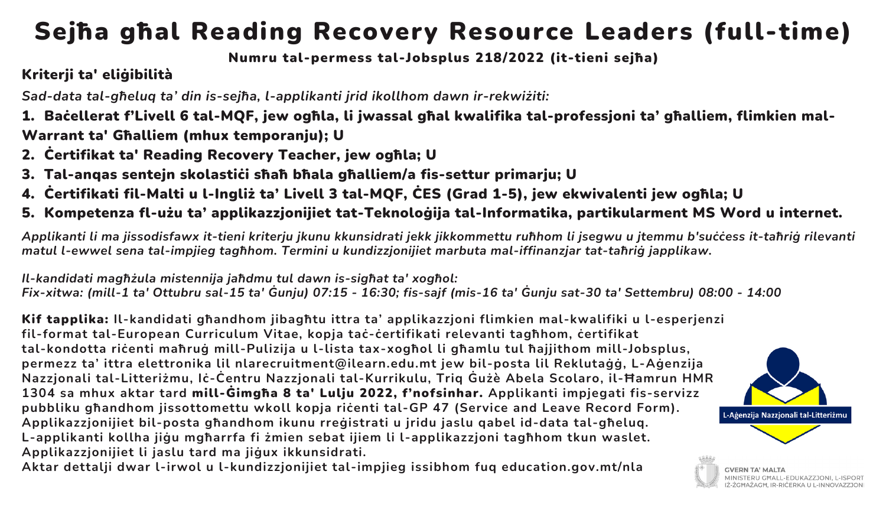## Sejħa għal Reading Recovery Resource Leaders (full-time)

#### Numru tal-permess tal-Jobsplus 218/2022 (it-tieni sejħa)

### Kriterji ta' eliġibilità

*Sad-data tal-għeluq ta' din is-sejħa, l-applikanti jrid ikollhom dawn ir-rekwiżiti:*

1. Baċellerat f'Livell 6 tal-MQF, jew ogħla, li jwassal għal kwalifika tal-professjoni ta' għalliem, flimkien mal-Warrant ta' Għalliem (mhux temporanju); U

- 2. Ċertifikat ta' Reading Recovery Teacher, jew ogħla; U
- 3. Tal-angas sentejn skolastići sħaħ bħala għalliem/a fis-settur primarju; U
- 4. Ċertifikati fil-Malti u l-Ingliż ta' Livell 3 tal-MQF, ĊES (Grad 1-5), jew ekwivalenti jew ogħla; U
- 5. Kompetenza fl-użu ta' applikazzjonijiet tat-Teknoloġija tal-Informatika, partikularment MS Word u internet.

Applikanti li ma jissodisfawx it-tieni kriterju ikunu kkunsidrati jekk jikkommettu ruħhom li jsegwu u jtemmu b'suċċess it-taħriġ rilevanti *matul l-ewwel sena tal-impjieg tagħhom. Termini u kundizzjonijiet marbuta mal-iffinanzjar tat-taħriġ japplikaw.*

*Il-kandidati magħżula mistennija jaħdmu tul dawn is-sigħat ta' xogħol:* Fix-xitwa: (mill-1 ta' Ottubru sal-15 ta' Gunju) 07:15 - 16:30; fis-sajf (mis-16 ta' Gunju sat-30 ta' Settembru) 08:00 - 14:00

Kif tapplika: **Il-kandidati għandhom jibagħtu ittra ta' applikazzjoni flimkien mal-kwalifiki u l-esperjenzi fil-format tal-European Curriculum Vitae, kopja taċ-ċertifikati relevanti tagħhom, ċertifikat tal-kondotta riċenti maħruġ mill-Pulizija u l-lista tax-xogħol li għamlu tul ħajjithom mill-Jobsplus, permezz ta' ittra elettronika lil nlarecruitment@ilearn.edu.mt jew bil-posta lil Reklutaġġ, L-Aġenzija Nazzjonali tal-Litteriżmu, Iċ-Ċentru Nazzjonali tal-Kurrikulu, Triq Ġużè Abela Scolaro, il-Ħamrun HMR 1304 sa mhux aktar tard** mill-Ġimgħa 8 ta' Lulju 2022, f'nofsinhar. **Applikanti impjegati fis-servizz pubbliku għandhom jissottomettu wkoll kopja riċenti tal-GP 47 (Service and Leave Record Form). Applikazzjonijiet bil-posta għandhom ikunu rreġistrati u jridu jaslu qabel id-data tal-għeluq. L-applikanti kollha jiġu mgħarrfa fi żmien sebat ijiem li l-applikazzjoni tagħhom tkun waslet. Applikazzjonijiet li jaslu tard ma jiġux ikkunsidrati.**

**Aktar dettalji dwar l-irwol u l-kundizzjonijiet tal-impjieg issibhom fuq education.gov.mt/nla**